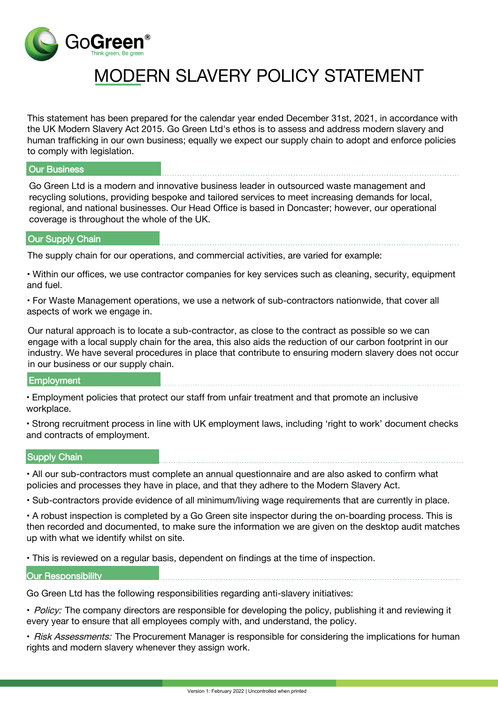

# MODERN SLAVERY POLICY STATEMENT

This statement has been prepared for the calendar year ended December 31st, 2021, in accordance with the UK Modern Slavery Act 2015. Go Green Ltd's ethos is to assess and address modern slavery and human trafficking in our own business; equally we expect our supply chain to adopt and enforce policies to comply with legislation.

## Our Business

Go Green Ltd is a modern and innovative business leader in outsourced waste management and recycling solutions, providing bespoke and tailored services to meet increasing demands for local, regional, and national businesses. Our Head Office is based in Doncaster; however, our operational coverage is throughout the whole of the UK.

#### Our Supply Chain

The supply chain for our operations, and commercial activities, are varied for example:

• Within our offices, we use contractor companies for key services such as cleaning, security, equipment and fuel.

• For Waste Management operations, we use a network of sub-contractors nationwide, that cover all aspects of work we engage in.

Our natural approach is to locate a sub-contractor, as close to the contract as possible so we can engage with a local supply chain for the area, this also aids the reduction of our carbon footprint in our industry. We have several procedures in place that contribute to ensuring modern slavery does not occur in our business or our supply chain.

# **Employment**

• Employment policies that protect our staff from unfair treatment and that promote an inclusive workplace.

• Strong recruitment process in line with UK employment laws, including 'right to work' document checks and contracts of employment.

## Supply Chain

• All our sub-contractors must complete an annual questionnaire and are also asked to confirm what policies and processes they have in place, and that they adhere to the Modern Slavery Act.

• Sub-contractors provide evidence of all minimum/living wage requirements that are currently in place.

• A robust inspection is completed by a Go Green site inspector during the on-boarding process. This is then recorded and documented, to make sure the information we are given on the desktop audit matches up with what we identify whilst on site.

• This is reviewed on a regular basis, dependent on findings at the time of inspection.

#### **Our Responsibility**

Go Green Ltd has the following responsibilities regarding anti-slavery initiatives:

• Policy: The company directors are responsible for developing the policy, publishing it and reviewing it every year to ensure that all employees comply with, and understand, the policy.

• Risk Assessments: The Procurement Manager is responsible for considering the implications for human rights and modern slavery whenever they assign work.